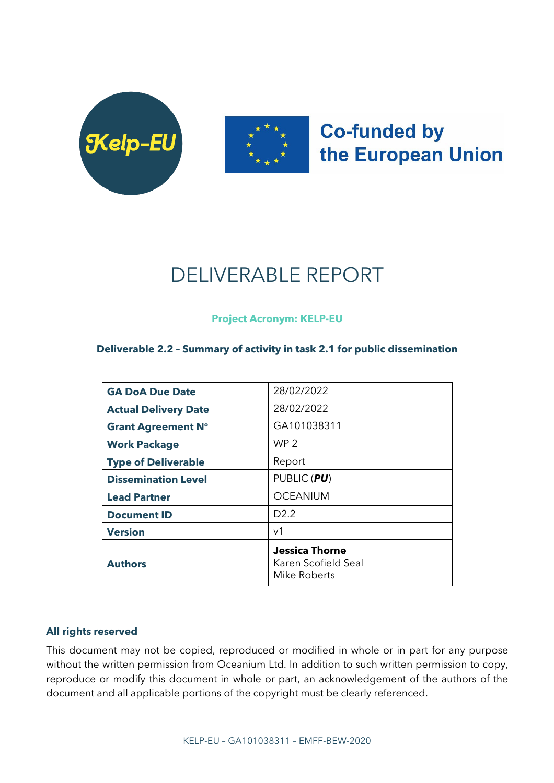



## **Co-funded by** the European Union

# DELIVERABLE REPORT

**Project Acronym: KELP-EU**

## **Deliverable 2.2 – Summary of activity in task 2.1 for public dissemination**

| <b>GA DoA Due Date</b>      | 28/02/2022                                                   |
|-----------------------------|--------------------------------------------------------------|
| <b>Actual Delivery Date</b> | 28/02/2022                                                   |
| <b>Grant Agreement N°</b>   | GA101038311                                                  |
| <b>Work Package</b>         | WP <sub>2</sub>                                              |
| <b>Type of Deliverable</b>  | Report                                                       |
| <b>Dissemination Level</b>  | PUBLIC (PU)                                                  |
| <b>Lead Partner</b>         | <b>OCEANIUM</b>                                              |
| <b>Document ID</b>          | D <sub>2.2</sub>                                             |
| <b>Version</b>              | v <sub>1</sub>                                               |
| <b>Authors</b>              | <b>Jessica Thorne</b><br>Karen Scofield Seal<br>Mike Roberts |

### **All rights reserved**

This document may not be copied, reproduced or modified in whole or in part for any purpose without the written permission from Oceanium Ltd. In addition to such written permission to copy, reproduce or modify this document in whole or part, an acknowledgement of the authors of the document and all applicable portions of the copyright must be clearly referenced.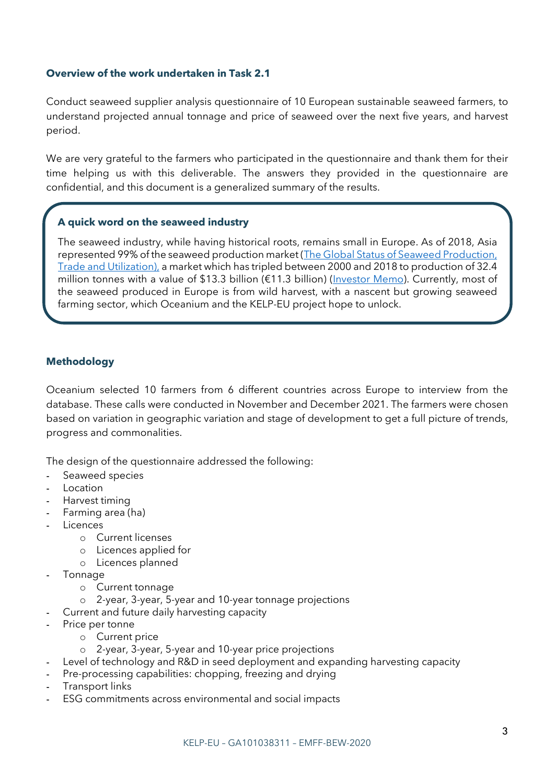#### **Overview of the work undertaken in Task 2.1**

Conduct seaweed supplier analysis questionnaire of 10 European sustainable seaweed farmers, to understand projected annual tonnage and price of seaweed over the next five years, and harvest period.

We are very grateful to the farmers who participated in the questionnaire and thank them for their time helping us with this deliverable. The answers they provided in the questionnaire are confidential, and this document is a generalized summary of the results.

## **A quick word on the seaweed industry**

The seaweed industry, while having historical roots, remains small in Europe. As of 2018, Asia represented 99% of the seaweed production market (The Global Status of Seaweed Production, [Trade and Utilization\)](https://www.fao.org/in-action/globefish/publications/details-publication/en/c/1154074/), a market which has tripled between 2000 and 2018 to production of 32.4 million tonnes with a value of \$13.3 billion (€11.3 billion) [\(Investor Memo\)](https://www.seaweedeurope.com/wp-content/uploads/2021/10/S4E-InvestorMemo-MainReport-16OCTOBER2021.pdf). Currently, most of the seaweed produced in Europe is from wild harvest, with a nascent but growing seaweed farming sector, which Oceanium and the KELP-EU project hope to unlock.

## **Methodology**

Oceanium selected 10 farmers from 6 different countries across Europe to interview from the database. These calls were conducted in November and December 2021. The farmers were chosen based on variation in geographic variation and stage of development to get a full picture of trends, progress and commonalities.

The design of the questionnaire addressed the following:

- Seaweed species
- **Location**
- Harvest timing
- Farming area (ha)
- **Licences** 
	- o Current licenses
	- o Licences applied for
	- o Licences planned
- **Tonnage** 
	- o Current tonnage
	- o 2-year, 3-year, 5-year and 10-year tonnage projections
- Current and future daily harvesting capacity
- Price per tonne
	- o Current price
	- o 2-year, 3-year, 5-year and 10-year price projections
- Level of technology and R&D in seed deployment and expanding harvesting capacity
- Pre-processing capabilities: chopping, freezing and drying
- Transport links
- ESG commitments across environmental and social impacts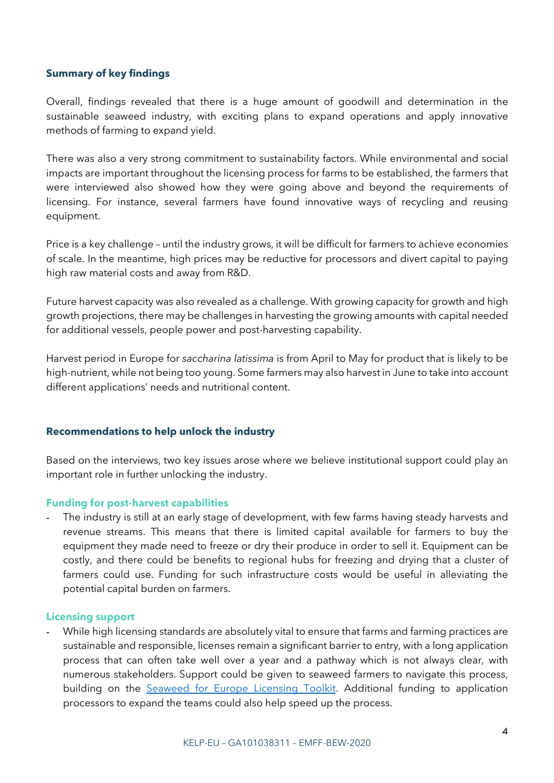#### **Summary of key findings**

Overall, findings revealed that there is a huge amount of goodwill and determination in the sustainable seaweed industry, with exciting plans to expand operations and apply innovative methods of farming to expand yield.

There was also a very strong commitment to sustainability factors. While environmental and social impacts are important throughout the licensing process for farms to be established, the farmers that were interviewed also showed how they were going above and beyond the requirements of licensing. For instance, several farmers have found innovative ways of recycling and reusing equipment.

Price is a key challenge – until the industry grows, it will be difficult for farmers to achieve economies of scale. In the meantime, high prices may be reductive for processors and divert capital to paying high raw material costs and away from R&D.

Future harvest capacity was also revealed as a challenge. With growing capacity for growth and high growth projections, there may be challenges in harvesting the growing amounts with capital needed for additional vessels, people power and post-harvesting capability.

Harvest period in Europe for *saccharina latissima* is from April to May for product that is likely to be high-nutrient, while not being too young. Some farmers may also harvest in June to take into account different applications' needs and nutritional content.

### **Recommendations to help unlock the industry**

Based on the interviews, two key issues arose where we believe institutional support could play an important role in further unlocking the industry.

#### **Funding for post-harvest capabilities**

- The industry is still at an early stage of development, with few farms having steady harvests and revenue streams. This means that there is limited capital available for farmers to buy the equipment they made need to freeze or dry their produce in order to sell it. Equipment can be costly, and there could be benefits to regional hubs for freezing and drying that a cluster of farmers could use. Funding for such infrastructure costs would be useful in alleviating the potential capital burden on farmers.

#### **Licensing support**

- While high licensing standards are absolutely vital to ensure that farms and farming practices are sustainable and responsible, licenses remain a significant barrier to entry, with a long application process that can often take well over a year and a pathway which is not always clear, with numerous stakeholders. Support could be given to seaweed farmers to navigate this process, building on the [Seaweed for Europe Licensing Toolkit.](https://www.seaweedeurope.com/toolkit/) Additional funding to application processors to expand the teams could also help speed up the process.